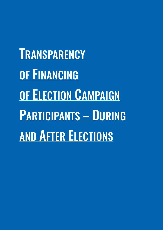**TRANSPARENCY** OF FINANCING OF ELECTION CAMPAIGN PARTICIPANTS – DURING AND AFTER ELECTIONS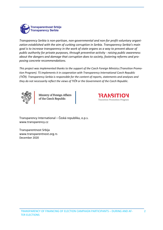

*Transparency Serbia is non-partisan, non-governmental and non-for profit voluntary organization established with the aim of curbing corruption in Serbia. Transparency Serbia's main goal is to increase transparency in the work of state organs as a way to prevent abuse of public authority for private purposes, through preventive activity - raising public awareness about the dangers and damage that corruption does to society, fostering reforms and proposing concrete recommendations.*

*This project was implemented thanks to the support of the Czech Foreign Ministry (Transition Promotion Program). TS implements it in cooperation with Transparency International Czech Republic (TIČR). Transparency Serbia is responsible for the content of reports, statements and analyses and they do not necessarily reflect the views of TIČR or the Government of the Czech Republic.* 



Ministry of Foreign Affairs of the Czech Republic



Transparency International – Česká republika, o.p.s. www.transparency.cz

Transparentnost Srbija www.transparentnost.org.rs December 2020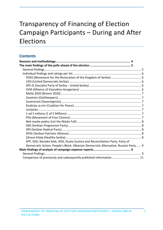# Transparency of Financing of Election Campaign Participants – During and After Elections

# **Contents**

| SPP, SDA, Narodni blok, ADA, Ruska (Justice and Reconciliation Party, Party of      |  |
|-------------------------------------------------------------------------------------|--|
| Democratic Action, People's Block, Albanian Democratic Alternative, Russian Party 9 |  |
|                                                                                     |  |
|                                                                                     |  |
| Comparison of previously and subsequently published information  11                 |  |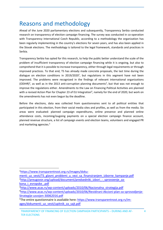# Reasons and methodology

Ahead of the June 2020 parliamentary elections and subsequently, Transparency Serbia conducted research on transparency of election campaign financing. The survey was conducted in co-operation with Transparency International Czech Republic, according to a methodology the organization has been regularly implementing in the country's elections for seven years, and has also been applied in the Slovak elections. The methodology is tailored to the legal framework, standards and practices in Serbia.

Transparency Serbia has opted for this research, to help the public better understand the scale of the problem of insufficient transparency of election campaign financing while it is ongoing, but also to comprehend that it is possible to increase transparency, either through legal requirements or through improved practices. To that end, TS has already made concrete proposals, the last time during the dialogue on election conditions in  $2019/2020<sup>1</sup>$ , but regulations in this segment have not been improved. The problems were recognized in the findings of relevant international organizations (ODIHR)<sup>2</sup>, as well as in the 2013 anti-corruption planning documents<sup>3</sup>, but that was not enough to improve the regulations either. Amendments to the Law on Financing Political Activities are planned with a revised Action Plan for Chapter 23 of EU Integration<sup>4</sup>, namely for the end of 2020, but work on the amendments has not even begun by the deadline.

Before the elections, data was collected from questionnaires sent to all political entities that participated in this election, from their social media sites and profiles, as well as from the media. Six areas were evaluated: planned campaign expenditures, online presence and planned online attendance costs, incoming/ougoing payments on a special election campaign finance account, planned revenue structure, a list of campaign events and election teams, volunteers and engaged PR and marketing agencies.<sup>5</sup>

<sup>1</sup>https://www.transparentnost.org.rs/images/doku-

menti uz vesti/TS glavni problemi u vezi sa finansiranjem izborne kampanje.pdf <sup>2</sup>http://preugovor.org/upload/document/predsedniki izbori - sprovoenje zakona\_i\_evropske\_.pdf

<sup>3</sup>http://www.acas.rs/wp-content/uploads/2010/06/Nacionalna\_strategija.pdf 4http://www.acas.rs/wp-content/uploads/2010/06/Revidirani-Akcioni-plan-za-sprovodjenje-Strategije-usvojen-30062016.pdf

<sup>5</sup>The entire questionnaire is available here: https://www.transparentnost.org.rs/images/dokumenti uz vesti/upitnik za sajt.pdf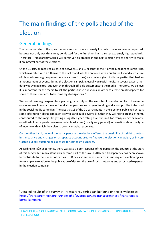# The main findings of the polls ahead of the election

# General findings

The response rate to the questionnaire we sent was extremely low, which was somewhat expected, because not only was this survey conducted for the first time, but it also set extremely high standards. Therefore, Transparency Serbia will continue this practice in the next election cycles and try to make it an integral part of the elections.

Of the 21 lists, all received a score of between 1 and 2, except for the "For the Kingdom of Serbia" list, which was rated with 2.5 thanks to the fact that it was the only one with a published list and a structure of planned campaign expenses. A score above 1 (one) was mainly given to those parties that had an announcement of events during the election campaign, usually on social media. In several cases, other data was available too, but even then through officials' statements to the media. Therefore, we believe it is important for the media to ask the parties these questions, in order to create an atmosphere for some of these standards to become legal obligations.<sup>6</sup>

We found campaign expenditure planning data only on the website of one election list. Likewise, in only one case, information was found about persons in charge of funding and about profiles to be used in the social media campaign. The fact that 13 of the 21 participants in the elections published at least some information about campaign activities and public events (i.e. that they will not to organize them), contributed to the majority getting a slightly higher rating than the unit for transparency. Similarly, one-third of participants have released at least some (usually very general) information about the type of income with which they plan to cover campaign expenses.

On the other hand, none of the participants in the elections offered the possibility of insight to voters in the balance and changes on a separate account used to finance the election campaign, or in contracted but still outstanding expenses for campaign purposes.

According to TIČR experience, there was also a poor response of the parties in the country at the start of this survey, but many standards became part of the law in 2016 and transparency has been shown to contribute to the success of parties. TIČR has also set new standards in subsequent election cycles, for example in relation to the publication of data on the use of social networks and associated expenses in the election campaign.

 $6$ Detailed results of the Survey of Transparency Serbia can be found on the TS website at: https://transparentnost.org.rs/index.php/sr/projekti/189-transparentnost-finansiranja-izborne-kampanje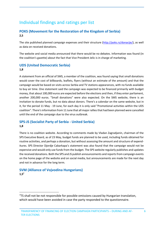# Individual findings and ratings per list

### **POKS (Movement for the Restoration of the Kingdom of Serbia) 2,5**

The site published planned campaign expenses and their structure (http://poks.rs/donacije/), as well as data on received donations.

The website and social media announced that there would be no debates. Information was found (in the coalition's gazette) about the fact that Vice President Jelic is in charge of marketing.

## **UDS (United Democratic Serbia)**

#### **1,8**

A statement from an official of SMS, a member of the coalition, was found saying that small donations would cover the cost of billboards, leaflets, flyers (without an estimate of the amount) and that the campaign would be based on visits across Serbia and TV stations appearances, with no funds available to buy air time. One statement said the campaign was expected to be financed primarily with budget money, that about 100,000 euros are expected before the elections and then, if they enter parliament, another 200,000 euros. "Small donations" were also expected. On the SMS website, there is an invitation to donate funds, but no data about donors. There's a calendar on the same website, but in it, for the period 11 May - 19 June, for each day it is only said "Promotional activities within the UDS coalition". There's information from 11 June that all major rallies that had been planned were cancelled until the end of the campaign due to the virus outbreak.

### **SPS-JS (Socialist Party of Serbia - United Serbia) 1,8**

There is no coalition website. According to comments made by Vladan Zagradjanin, chairman of the SPS Executive Board, as of 23 May, budget funds are planned to be used, including funds obtained for routine activities, and perhaps a donation, but without assessing the amount and structure of expenditures. SPS Director Djordje Cabarkapa's statement was also found that the campaign would not be expensive and would only use funds from the budget. The SPS website regularly publishes and updates the received donations. Both the SPS and JS publish announcements and reports from campaign events on the home page of the website and on social media, but announcements are made for the next day and not in advance for the long term.

## **SVM (Alliance of Vojvodina Hungarians) 1,57**

 $7$ TS shall not be not responsible for possible omissions caused by Hungarian translation, which would have been avoided in case the party responded to the questionnaire.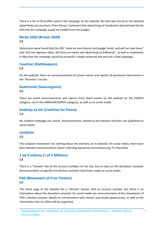There is a list of FB profiles used in the campaign on the website. No data was found on the planned advertising cost structure. Elvira Kovacs' statement that advertising on Facebook is planned was found, and that the campaign would be funded from the budget.

#### **Metla 2020 (Broom 2020) 1,5**

Statements were found that the DSS "relies on local boards and budget funds, and will not take loans" and "will not organize rallies, will focus on media and advertising on billboards", as well as statements in May that the campaign would be primarily a media-centered one and not a field campaign.

#### **Zavetnici (Oathkeepers) 1,5**

On the website, there are announcements of certain events and reports of previously held events in the "Activities" section.

## **Suverenisti (Sovereignists)**

#### **1,5**

There are event announcements and reports from these events on the website (in the EVENTS category, not in the ANNOUNCEMENT category), as well as on social media.

# **Koalicija za mir (Coalition for Peace)**

#### **1,5**

No coalition webpage was found. Announcements related to pre-election activities are published on social media.

#### **Levijatan**

#### **1,5**

The Levijatan movement has nothing about the elections on its website. On social media, there have been detailed announcements about collecting signatures and announcing TV interviews.

#### **1 od 5 miliona (1 of 5 Millions) 1,5**

There is a "Donate" link to the account numbers on the site, but no data on the donations received. Announcements of specific pre-election activities have been made on social media.

#### **PSG (Movement of Free Citizens) 1,5**

The home page of the website has a "Donate" banner with an account number, but there is no information about the donations received. On social media are announcements of the movements of PSG's election caravan, details on conversations with citizens and media appearances, as well as the information that no rallies will be organized.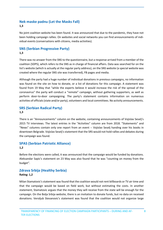#### **Nek maske padnu (Let the Masks Fall) 1,3**

No joint coalition website has been found. It was announced that due to the pandemic, they have not been holding campaign rallies. On websites and social networks you can find announcements of individual events (conversations with citizens, media activities).

## **SNS (Serbian Progressive Party) 1,3**

There was no answer from the SNS to the questionnaire, but a response arrived from a member of the coalition (SDPS), which refers to the SNS as in charge of financial affairs. Data was searched for on the list's website (which is actually at the regular party address), on the SNS website (a special website was created where the regular SNS site was transferred), FB pages and media.

Although the party had a huge number of individual donations in previous campaigns, no information was found on the site on how to donate, or a list of donations for this campaign. A statement was found from 19 May that "while the experts believe it would increase the risk of the spread of the coronavirus" the party will conduct a "remote" campaign, without gathering supporters, as well as perform door-to-door campaigning. The party's statement contains information on numerous activities of officials (state and/or party), volunteers and local committees. No activity announcements.

### **SRS (Serbian Radical Party) 1,3**

There is an "Announcements" column on the website, containing announcements of Vojislav Seselj's 2015 TV interviews. The latest entries in the "Activities" column are from 2018. "Statements" and "News" columns contain only one report from an event -- Vojislav Seselj handing over his books in downtown Belgrade. Vojislav Seselj's statement that the SRS would not hold rallies and debates during the campaign was found.

### **SPAS (Serbian Patriotic Alliance) 1,2**

Before the elections were called, it was announced that the campaign would be funded by donations. Aleksandar Sapic's statement on 23 May was also found that he was "counting on money from the budget".

### **Zdrava Srbija (Healthy Serbia)**

#### **Rating: 1,2**

Milan Stamatovic's statement was found that the coalition would not rent billboards or TV air time and that the campaign would be based on field work, but without estimating the costs. In another statement, Stamatovic argues that the money they will receive from the state will be enough for the campaign. On the Bolja Srbija website, there is an invitation to donate funds, but no data on received donations. Veroljub Stevanovic's statement was found that the coalition would not organize large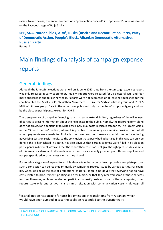rallies. Nevertheless, the announcement of a "pre-election concert" in Topola on 16 June was found on the Facebook page of Bolja Srbija.

### SPP, SDA, Narodni blok, ADA<sup>8</sup>, Ruska (Justice and Reconciliation Party, Party **of Democratic Action, People's Block, Albanian Democratic Alternative, Russian Party Rating: 1**

# Main findings of analysis of campaign expense reports

# General findings

Although the June 21st elections were held on 21 June 2020, data from the campaign expenses report was only released in early September. Initially, reports were released for 14 electoral lists, and four more appeared in the following weeks. Reports were not submitted or at least not published for the coalition "Let the Masks Fall", "Leviathan Movement – I live for Serbia" citizens group and "1 of 5 Million" citizens group. Data in the report was published only by the Anti-Corruption Agency and not by the election participants, except for POKS.

The transparency of campaign financing data is to some extend limited, regardless of the willingness of parties to present information about their expenses to the public. Namely, the reporting form alone does not provide an opportunity to write down individual costs in certain categories. This is most visible in the "Other Expenses" section, where it is possible to name only one service provider, but not all whom payments were made to. Similarly, the form does not foresee a special column for entering advertising costs on social media, so the conclusion that a party had advertised in this way can only be done if this is highlighted in a note. It is also obvious that certain columns were filled in by election participants in different ways and that the report therefore does not give the right picture. An example of this are ads, videos, and billboards, where the costs are mainly grouped per different suppliers and not per specific advertising messages, as they should.

For certain categories of expenditures, it is also certain that reports do not provide a complete picture. Such a conclusion can be reached primarily by comparing reports issued by various parties. For example, when looking at the cost of promotional material, there is no doubt that everyone had to have costs related to procurement, printing and distribution, or that they received some of these services for free. However, while some election participants classify costs across all of these categories, other reports state only one or two. It is a similar situation with communication costs – although all

 $8$ TS shall not be responsible for possible omissions in translations from Albanian, which would have been avoided in case the coalition responded to the questionnaire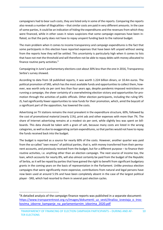campaigners had to bear such costs, they are listed only in some of the reports. Comparing the reports also reveals a number of illogicalities – that similar costs are paid in very different amounts. In the case of some parties, it could be an indication of hiding the expenditures and the revenues from which they were financed, while in other cases it raises suspicions that some campaign expenses have been inflated, so that the party does not have to repay unspent funding back to the national budget.

The main problem when it comes to income transparency and campaign expenditures is the fact that some participants in this election have reported expenses that have been left unpaid without seeing from the reports how they will be settled. This uncertainty is particularly high when it comes to lists that have not met the threshold and will therefore not be able to repay debts with money allocated to finance routine party activities.<sup>9</sup>

Campaigning in June's parliamentary elections cost about 30% less than the one in 2016, Transparency Serbia's survey showed.

According to data from 18 published reports, it was worth 1.224 billion dinars, or 10.4m euros. The political promotion of SNS, which has the most available funds and opportunities to collect them, however, was worth only six per cent less than four years ago, despite pandemic-imposed restrictions on running a campaign, the sheer certainty of a overwhelming election victory and opportunities for promotion through the activities of public officials. Other election participants, including the ruling SPS-JS, had significantly fewer opportunities to raise funds for their promotion, which, amid the boycott of a significant part of the opposition, has lowered the costs.

Advertising on TV stations remains the most prevalent in the expenditure structure, 60%, followed by the cost of promotional material (nearly 11%), print ads and other expenses with more than 7%. The share of Internet advertising remains at a modest six per cent, while slightly less was spent on billboards. This data should be taken with a grain of salt, because many costs are listed in the wrong categories, as well as due to exaggerating certain expenditures, so that parties would not have to repay the funds received back into the budget.

The budget is reported as a source for nearly 60% of the costs. However, another quarter was paid from the so-called "own means" of political parties, that is, with money transferred from their permanent accounts, and previously received from the budget, but for a different purpose – to finance their routine activities, i.e. anything other than an election campaign. The next source of income too, the loan, which accounts for nearly 8%, will also almost certainly be paid from the budget of the Republic of Serbia, as it will be repaid by parties that have gained the right to benefit from significant budgetary grants in the coming years on the basis of representation in the Parliament. Unlike previous election campaigns that were significantly more expensive, contributions from natural and legal persons have now been used at around 5.5% and have been completely absent in the case of the largest political player - SNS, which had resorted to them in several past election cycles.

 $9A$  detailed analysis of the campaign finance reports was published in a separate document: https://www.transparentnost.org.rs/images/dokumenti\_uz\_vesti/Analiza\_izvestaja\_o\_troskovima\_izborne\_kampanje\_na\_parlamentarnim\_izborima\_2020.pdf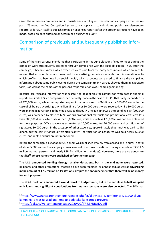Given the numerous omissions and inconsistencies in filling out the election campaign expenses reports, TS urged the Anti-Corruption Agency to ask applicants to submit and publish supplementary reports, or for ACA itself to publish campaign expenses reports after the proper corrections have been made, based on data obtained or determined during the audit<sup>10</sup>.

# Comparison of previously and subsequently published information

Some of the transparency standards that participants in the June elections failed to meet during the campaign were subsequently observed through compliance with the legal obligation. Thus, after the campaign, it became known which expenses were paid from the party account and which sources financed that account, how much was paid for advertising on online media (but not information as to which profiles had been used on social media), which accounts were used to finance the campaign, information about some public events during the campaign (many parties showed them in aggregate form) , as well as the names of the persons responsible for lawful campaign financing.

Because pre-released information was scarce, the possibilities for comparison with data in the final reports are limited. Such comparisons can be firstly made in the case of POKS. That party planned costs of 475,000 euros, while the reported expenditure was close to 45M dinars, or 383,000 euros. In the case of billboard advertising, 1.9 million dinars (over 50,000 euros) were reported, while 30,000 euros were planned; advertising in the media was paid about 40 million dinars, so the spending plan (200,000 euros) was exceeded by close to 60%; various promotional materials and promotional costs cost less than 900,000 dinars, which is less than 8,000 euros, while as much as 175,000 euros had been planned for these purposes. Office space was estimated at 10,000 euros, fuel 20,000 euros and certification of signatures 30,000 euros. In the category of other expenses, approximately that much was paid - 1.9M dinars, but the cost structure differs significantly – certification of signatures was paid nearly 60,000 euros, and rents and fuel are not mentioned.

Before the campaign, a list of about 20 donors was published (mainly from abroad and in euros, a total of about 5,000 euros). The campaign finance report cites dinar donations totaling as much as RSD 14.5 million (natural persons) and nearly RSD 23 million (legal entities). **However, there are no donors on**  that list<sup>11</sup> whose names were published before the campaign!

The UDS **announced funding through smaller donations, but in the end none were reported.** Billboards and other promotional materials have been reported, as announced, as well as **advertising in the amount of 17.5 million on TV stations, despite the announcement that there will be no money for such purposes**.

The SPS-JS coalition **announced it would resort to budget funds, but in the end close to half was paid with loans, and significant contributions from natural persons were also collected.** The SVM has

<sup>10</sup>https://www.transparentnost.org.rs/index.php/sr/aktivnosti-2/konferencije/11700-skupakampanja-o-trosku-gradjana-mnogo-podataka-koje-treba-proveriti 11http://poks.rs/wp-content/uploads/2020/09/47-REPUBLIKA.pdf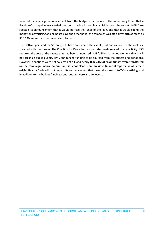financed its campaign announcement from the budget as announced. The monitoring found that a Facebook's campaign was carried out, but its value is not clearly visible from the report. METLA respected its announcement that it would not use the funds of the loan, and that it would spend the money on advertising and billboards. On the other hand, the campaign was officially worth as much as RSD 13M more than the revenues collected.

The Oathkeepers and the Sovereignists have announced the events, but one cannot see the costs associated with the former. The Coalition for Peace has not reported costs related to any activity. PSG reported the cost of the events that had been announced. SNS fulfilled its announcement that it will not organize public events. SPAS announced funding to be sourced from the budget and donations. However, donations were not collected at all, and nearly **RSD 23M of "own funds" were transferred on the campaign finance account and it is not clear, from previous financial reports, what is their origin.** Healthy Serbia did not respect its announcement that it would not resort to TV advertising, and in addition to the budget funding, contributions were also collected.